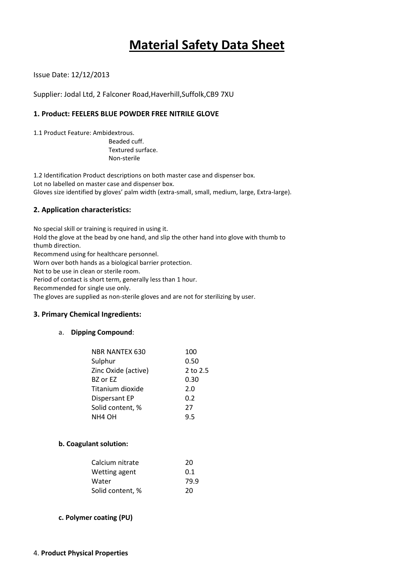# **Material Safety Data Sheet**

Issue Date: 12/12/2013

Supplier: Jodal Ltd, 2 Falconer Road,Haverhill,Suffolk,CB9 7XU

### **1. Product: FEELERS BLUE POWDER FREE NITRILE GLOVE**

1.1 Product Feature: Ambidextrous.

Beaded cuff. Textured surface. Non-sterile

1.2 Identification Product descriptions on both master case and dispenser box. Lot no labelled on master case and dispenser box. Gloves size identified by gloves' palm width (extra-small, small, medium, large, Extra-large).

#### **2. Application characteristics:**

No special skill or training is required in using it. Hold the glove at the bead by one hand, and slip the other hand into glove with thumb to thumb direction. Recommend using for healthcare personnel.

Worn over both hands as a biological barrier protection.

Not to be use in clean or sterile room.

Period of contact is short term, generally less than 1 hour.

Recommended for single use only.

The gloves are supplied as non-sterile gloves and are not for sterilizing by user.

#### **3. Primary Chemical Ingredients:**

#### a. **Dipping Compound**:

| NBR NANTEX 630       | 100      |
|----------------------|----------|
| Sulphur              | 0.50     |
| Zinc Oxide (active)  | 2 to 2.5 |
| BZ or EZ             | 0.30     |
| Titanium dioxide     | 2.0      |
| <b>Dispersant EP</b> | 0.2      |
| Solid content, %     | 27       |
| NH <sub>4</sub> OH   | 9.5      |
|                      |          |

#### **b. Coagulant solution:**

| 20   |
|------|
| 0.1  |
| 79.9 |
| 20   |
|      |

#### **c. Polymer coating (PU)**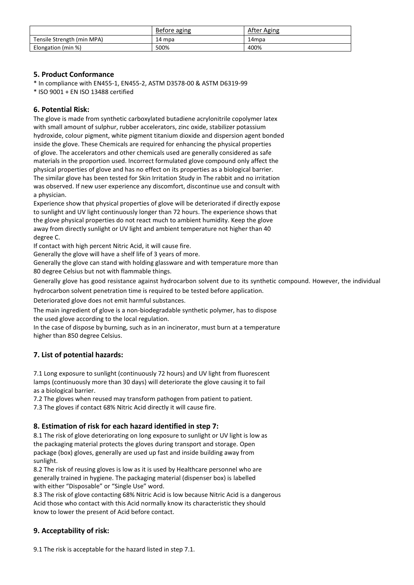|                            | Before aging | After Aging |
|----------------------------|--------------|-------------|
| Tensile Strength (min MPA) | 14 mpa       | 14mpa       |
| Elongation (min %)         | 500%         | 400%        |

## **5. Product Conformance**

\* In compliance with EN455-1, EN455-2, ASTM D3578-00 & ASTM D6319-99

\* ISO 9001 + EN ISO 13488 certified

## **6. Potential Risk:**

The glove is made from synthetic carboxylated butadiene acrylonitrile copolymer latex with small amount of sulphur, rubber accelerators, zinc oxide, stabilizer potassium hydroxide, colour pigment, white pigment titanium dioxide and dispersion agent bonded inside the glove. These Chemicals are required for enhancing the physical properties of glove. The accelerators and other chemicals used are generally considered as safe materials in the proportion used. Incorrect formulated glove compound only affect the physical properties of glove and has no effect on its properties as a biological barrier. The similar glove has been tested for Skin Irritation Study in The rabbit and no irritation was observed. If new user experience any discomfort, discontinue use and consult with a physician.

Experience show that physical properties of glove will be deteriorated if directly expose to sunlight and UV light continuously longer than 72 hours. The experience shows that the glove physical properties do not react much to ambient humidity. Keep the glove away from directly sunlight or UV light and ambient temperature not higher than 40 degree C.

If contact with high percent Nitric Acid, it will cause fire.

Generally the glove will have a shelf life of 3 years of more.

Generally the glove can stand with holding glassware and with temperature more than 80 degree Celsius but not with flammable things.

Generally glove has good resistance against hydrocarbon solvent due to its synthetic compound. However, the individual

hydrocarbon solvent penetration time is required to be tested before application.

Deteriorated glove does not emit harmful substances.

The main ingredient of glove is a non-biodegradable synthetic polymer, has to dispose the used glove according to the local regulation.

In the case of dispose by burning, such as in an incinerator, must burn at a temperature higher than 850 degree Celsius.

# **7. List of potential hazards:**

7.1 Long exposure to sunlight (continuously 72 hours) and UV light from fluorescent lamps (continuously more than 30 days) will deteriorate the glove causing it to fail as a biological barrier.

7.2 The gloves when reused may transform pathogen from patient to patient.

7.3 The gloves if contact 68% Nitric Acid directly it will cause fire.

# **8. Estimation of risk for each hazard identified in step 7:**

8.1 The risk of glove deteriorating on long exposure to sunlight or UV light is low as the packaging material protects the gloves during transport and storage. Open package (box) gloves, generally are used up fast and inside building away from sunlight.

8.2 The risk of reusing gloves is low as it is used by Healthcare personnel who are generally trained in hygiene. The packaging material (dispenser box) is labelled with either "Disposable" or "Single Use" word.

8.3 The risk of glove contacting 68% Nitric Acid is low because Nitric Acid is a dangerous Acid those who contact with this Acid normally know its characteristic they should know to lower the present of Acid before contact.

# **9. Acceptability of risk:**

9.1 The risk is acceptable for the hazard listed in step 7.1.